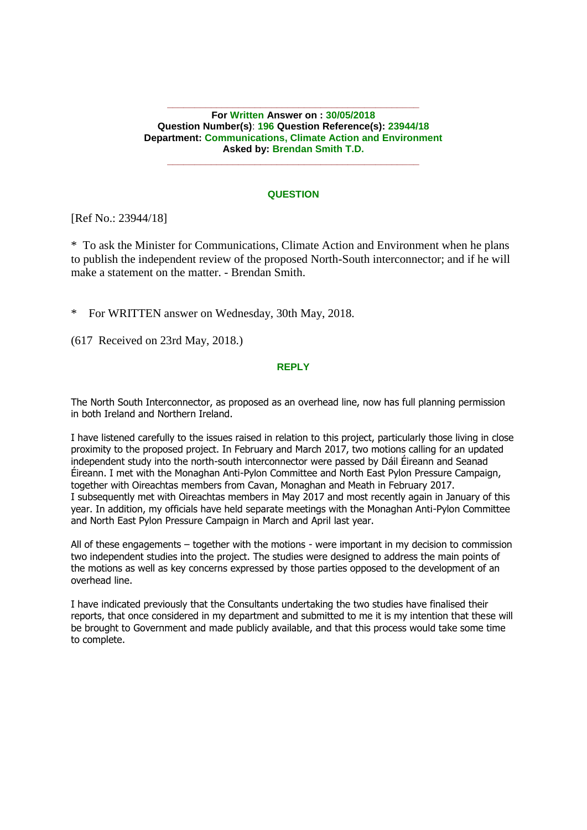**\_\_\_\_\_\_\_\_\_\_\_\_\_\_\_\_\_\_\_\_\_\_\_\_\_\_\_\_\_\_\_\_\_\_\_\_\_\_\_\_\_\_\_\_\_\_ For Written Answer on : 30/05/2018 Question Number(s)**: **196 Question Reference(s): 23944/18 Department: Communications, Climate Action and Environment Asked by: Brendan Smith T.D.**

#### **QUESTION**

**\_\_\_\_\_\_\_\_\_\_\_\_\_\_\_\_\_\_\_\_\_\_\_\_\_\_\_\_\_\_\_\_\_\_\_\_\_\_\_\_\_\_\_\_\_\_**

[Ref No.: 23944/18]

\* To ask the Minister for Communications, Climate Action and Environment when he plans to publish the independent review of the proposed North-South interconnector; and if he will make a statement on the matter. - Brendan Smith.

\* For WRITTEN answer on Wednesday, 30th May, 2018.

(617 Received on 23rd May, 2018.)

## **REPLY**

The North South Interconnector, as proposed as an overhead line, now has full planning permission in both Ireland and Northern Ireland.

I have listened carefully to the issues raised in relation to this project, particularly those living in close proximity to the proposed project. In February and March 2017, two motions calling for an updated independent study into the north-south interconnector were passed by Dáil Éireann and Seanad Éireann. I met with the Monaghan Anti-Pylon Committee and North East Pylon Pressure Campaign, together with Oireachtas members from Cavan, Monaghan and Meath in February 2017. I subsequently met with Oireachtas members in May 2017 and most recently again in January of this year. In addition, my officials have held separate meetings with the Monaghan Anti-Pylon Committee and North East Pylon Pressure Campaign in March and April last year.

All of these engagements – together with the motions - were important in my decision to commission two independent studies into the project. The studies were designed to address the main points of the motions as well as key concerns expressed by those parties opposed to the development of an overhead line.

I have indicated previously that the Consultants undertaking the two studies have finalised their reports, that once considered in my department and submitted to me it is my intention that these will be brought to Government and made publicly available, and that this process would take some time to complete.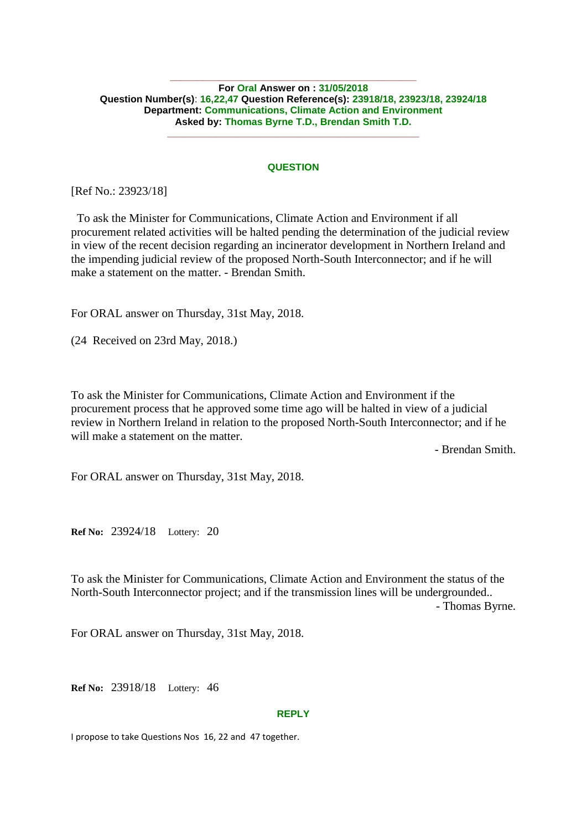### **For Oral Answer on : 31/05/2018 Question Number(s)**: **16,22,47 Question Reference(s): 23918/18, 23923/18, 23924/18 Department: Communications, Climate Action and Environment Asked by: Thomas Byrne T.D., Brendan Smith T.D.**

**\_\_\_\_\_\_\_\_\_\_\_\_\_\_\_\_\_\_\_\_\_\_\_\_\_\_\_\_\_\_\_\_\_\_\_\_\_\_\_\_\_\_\_\_\_**

# **QUESTION**

**\_\_\_\_\_\_\_\_\_\_\_\_\_\_\_\_\_\_\_\_\_\_\_\_\_\_\_\_\_\_\_\_\_\_\_\_\_\_\_\_\_\_\_\_\_\_**

[Ref No.: 23923/18]

 To ask the Minister for Communications, Climate Action and Environment if all procurement related activities will be halted pending the determination of the judicial review in view of the recent decision regarding an incinerator development in Northern Ireland and the impending judicial review of the proposed North-South Interconnector; and if he will make a statement on the matter. - Brendan Smith.

For ORAL answer on Thursday, 31st May, 2018.

(24 Received on 23rd May, 2018.)

To ask the Minister for Communications, Climate Action and Environment if the procurement process that he approved some time ago will be halted in view of a judicial review in Northern Ireland in relation to the proposed North-South Interconnector; and if he will make a statement on the matter.

- Brendan Smith.

For ORAL answer on Thursday, 31st May, 2018.

**Ref No:** 23924/18 Lottery: 20

To ask the Minister for Communications, Climate Action and Environment the status of the North-South Interconnector project; and if the transmission lines will be undergrounded.. - Thomas Byrne.

For ORAL answer on Thursday, 31st May, 2018.

**Ref No:** 23918/18 Lottery: 46

#### **REPLY**

I propose to take Questions Nos 16, 22 and 47 together.